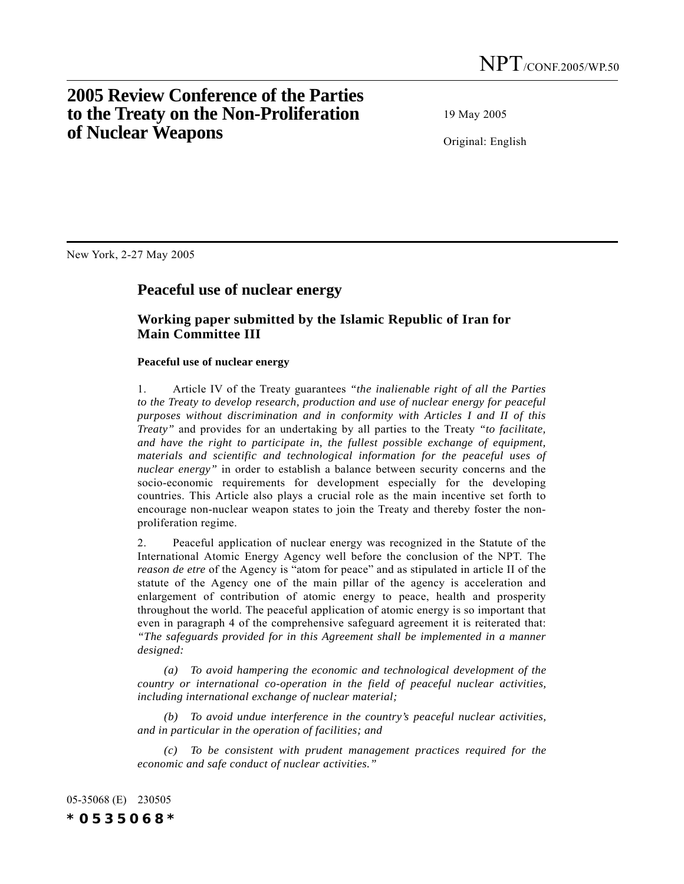# **2005 Review Conference of the Parties to the Treaty on the Non-Proliferation of Nuclear Weapons**

19 May 2005

Original: English

New York, 2-27 May 2005

## **Peaceful use of nuclear energy**

### **Working paper submitted by the Islamic Republic of Iran for Main Committee III**

#### **Peaceful use of nuclear energy**

1. Article IV of the Treaty guarantees *"the inalienable right of all the Parties to the Treaty to develop research, production and use of nuclear energy for peaceful purposes without discrimination and in conformity with Articles I and II of this Treaty"* and provides for an undertaking by all parties to the Treaty *"to facilitate, and have the right to participate in, the fullest possible exchange of equipment, materials and scientific and technological information for the peaceful uses of nuclear energy"* in order to establish a balance between security concerns and the socio-economic requirements for development especially for the developing countries. This Article also plays a crucial role as the main incentive set forth to encourage non-nuclear weapon states to join the Treaty and thereby foster the nonproliferation regime.

2. Peaceful application of nuclear energy was recognized in the Statute of the International Atomic Energy Agency well before the conclusion of the NPT. The *reason de etre* of the Agency is "atom for peace" and as stipulated in article II of the statute of the Agency one of the main pillar of the agency is acceleration and enlargement of contribution of atomic energy to peace, health and prosperity throughout the world. The peaceful application of atomic energy is so important that even in paragraph 4 of the comprehensive safeguard agreement it is reiterated that: *"The safeguards provided for in this Agreement shall be implemented in a manner designed:*

*(a) To avoid hampering the economic and technological development of the country or international co-operation in the field of peaceful nuclear activities, including international exchange of nuclear material;*

*(b) To avoid undue interference in the country's peaceful nuclear activities, and in particular in the operation of facilities; and*

*(c) To be consistent with prudent management practices required for the economic and safe conduct of nuclear activities."*

05-35068 (E) 230505 *\*0535068\**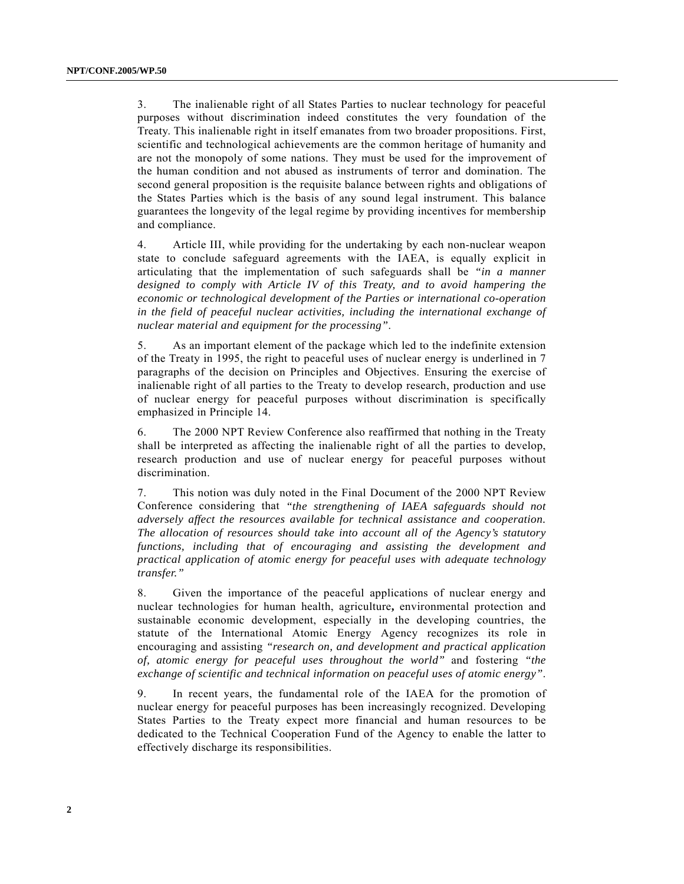3. The inalienable right of all States Parties to nuclear technology for peaceful purposes without discrimination indeed constitutes the very foundation of the Treaty. This inalienable right in itself emanates from two broader propositions. First, scientific and technological achievements are the common heritage of humanity and are not the monopoly of some nations. They must be used for the improvement of the human condition and not abused as instruments of terror and domination. The second general proposition is the requisite balance between rights and obligations of the States Parties which is the basis of any sound legal instrument. This balance guarantees the longevity of the legal regime by providing incentives for membership and compliance.

4. Article III, while providing for the undertaking by each non-nuclear weapon state to conclude safeguard agreements with the IAEA, is equally explicit in articulating that the implementation of such safeguards shall be *"in a manner designed to comply with Article IV of this Treaty, and to avoid hampering the economic or technological development of the Parties or international co-operation in the field of peaceful nuclear activities, including the international exchange of nuclear material and equipment for the processing"*.

5. As an important element of the package which led to the indefinite extension of the Treaty in 1995, the right to peaceful uses of nuclear energy is underlined in 7 paragraphs of the decision on Principles and Objectives. Ensuring the exercise of inalienable right of all parties to the Treaty to develop research, production and use of nuclear energy for peaceful purposes without discrimination is specifically emphasized in Principle 14.

6. The 2000 NPT Review Conference also reaffirmed that nothing in the Treaty shall be interpreted as affecting the inalienable right of all the parties to develop, research production and use of nuclear energy for peaceful purposes without discrimination.

7. This notion was duly noted in the Final Document of the 2000 NPT Review Conference considering that *"the strengthening of IAEA safeguards should not adversely affect the resources available for technical assistance and cooperation. The allocation of resources should take into account all of the Agency's statutory functions, including that of encouraging and assisting the development and practical application of atomic energy for peaceful uses with adequate technology transfer."*

8. Given the importance of the peaceful applications of nuclear energy and nuclear technologies for human health, agriculture**,** environmental protection and sustainable economic development, especially in the developing countries, the statute of the International Atomic Energy Agency recognizes its role in encouraging and assisting *"research on, and development and practical application of, atomic energy for peaceful uses throughout the world"* and fostering *"the exchange of scientific and technical information on peaceful uses of atomic energy"*.

9. In recent years, the fundamental role of the IAEA for the promotion of nuclear energy for peaceful purposes has been increasingly recognized. Developing States Parties to the Treaty expect more financial and human resources to be dedicated to the Technical Cooperation Fund of the Agency to enable the latter to effectively discharge its responsibilities.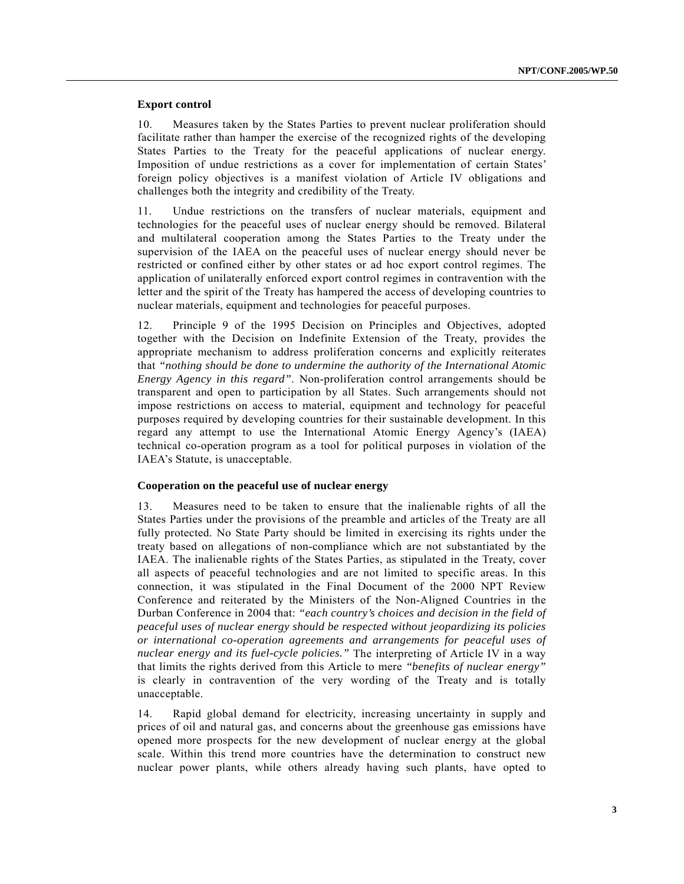#### **Export control**

10. Measures taken by the States Parties to prevent nuclear proliferation should facilitate rather than hamper the exercise of the recognized rights of the developing States Parties to the Treaty for the peaceful applications of nuclear energy. Imposition of undue restrictions as a cover for implementation of certain States' foreign policy objectives is a manifest violation of Article IV obligations and challenges both the integrity and credibility of the Treaty.

11. Undue restrictions on the transfers of nuclear materials, equipment and technologies for the peaceful uses of nuclear energy should be removed. Bilateral and multilateral cooperation among the States Parties to the Treaty under the supervision of the IAEA on the peaceful uses of nuclear energy should never be restricted or confined either by other states or ad hoc export control regimes. The application of unilaterally enforced export control regimes in contravention with the letter and the spirit of the Treaty has hampered the access of developing countries to nuclear materials, equipment and technologies for peaceful purposes.

12. Principle 9 of the 1995 Decision on Principles and Objectives, adopted together with the Decision on Indefinite Extension of the Treaty, provides the appropriate mechanism to address proliferation concerns and explicitly reiterates that *"nothing should be done to undermine the authority of the International Atomic Energy Agency in this regard"*. Non-proliferation control arrangements should be transparent and open to participation by all States. Such arrangements should not impose restrictions on access to material, equipment and technology for peaceful purposes required by developing countries for their sustainable development. In this regard any attempt to use the International Atomic Energy Agencyís (IAEA) technical co-operation program as a tool for political purposes in violation of the IAEA's Statute, is unacceptable.

#### **Cooperation on the peaceful use of nuclear energy**

13. Measures need to be taken to ensure that the inalienable rights of all the States Parties under the provisions of the preamble and articles of the Treaty are all fully protected. No State Party should be limited in exercising its rights under the treaty based on allegations of non-compliance which are not substantiated by the IAEA. The inalienable rights of the States Parties, as stipulated in the Treaty, cover all aspects of peaceful technologies and are not limited to specific areas. In this connection, it was stipulated in the Final Document of the 2000 NPT Review Conference and reiterated by the Ministers of the Non-Aligned Countries in the Durban Conference in 2004 that: *"each country's choices and decision in the field of peaceful uses of nuclear energy should be respected without jeopardizing its policies or international co-operation agreements and arrangements for peaceful uses of nuclear energy and its fuel-cycle policies."* The interpreting of Article IV in a way that limits the rights derived from this Article to mere *"benefits of nuclear energy"* is clearly in contravention of the very wording of the Treaty and is totally unacceptable.

14. Rapid global demand for electricity, increasing uncertainty in supply and prices of oil and natural gas, and concerns about the greenhouse gas emissions have opened more prospects for the new development of nuclear energy at the global scale. Within this trend more countries have the determination to construct new nuclear power plants, while others already having such plants, have opted to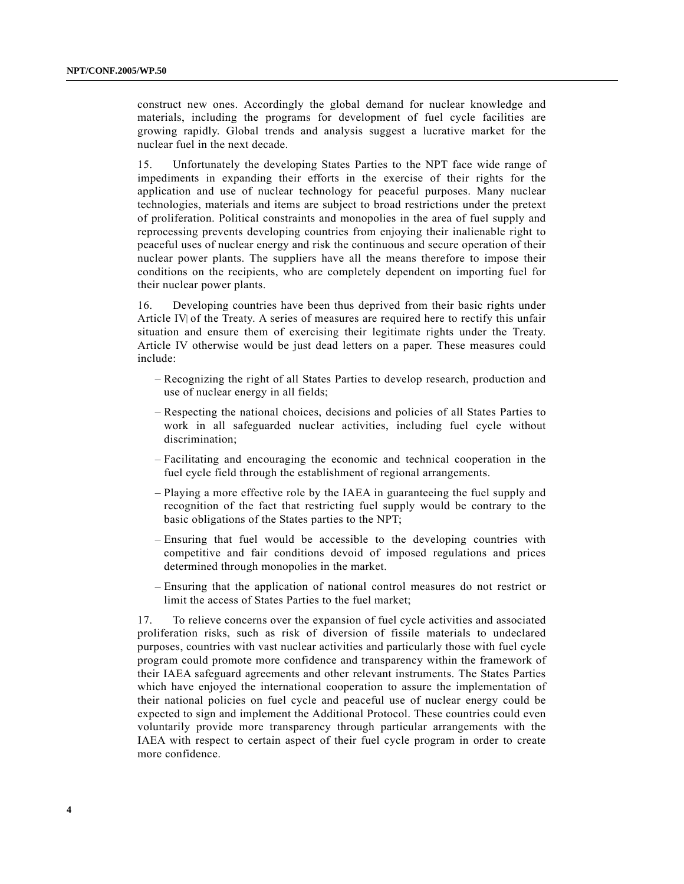construct new ones. Accordingly the global demand for nuclear knowledge and materials, including the programs for development of fuel cycle facilities are growing rapidly. Global trends and analysis suggest a lucrative market for the nuclear fuel in the next decade.

15. Unfortunately the developing States Parties to the NPT face wide range of impediments in expanding their efforts in the exercise of their rights for the application and use of nuclear technology for peaceful purposes. Many nuclear technologies, materials and items are subject to broad restrictions under the pretext of proliferation. Political constraints and monopolies in the area of fuel supply and reprocessing prevents developing countries from enjoying their inalienable right to peaceful uses of nuclear energy and risk the continuous and secure operation of their nuclear power plants. The suppliers have all the means therefore to impose their conditions on the recipients, who are completely dependent on importing fuel for their nuclear power plants.

16. Developing countries have been thus deprived from their basic rights under Article IV of the Treaty. A series of measures are required here to rectify this unfair situation and ensure them of exercising their legitimate rights under the Treaty. Article IV otherwise would be just dead letters on a paper. These measures could include:

- Recognizing the right of all States Parties to develop research, production and use of nuclear energy in all fields;
- Respecting the national choices, decisions and policies of all States Parties to work in all safeguarded nuclear activities, including fuel cycle without discrimination;
- Facilitating and encouraging the economic and technical cooperation in the fuel cycle field through the establishment of regional arrangements.
- Playing a more effective role by the IAEA in guaranteeing the fuel supply and recognition of the fact that restricting fuel supply would be contrary to the basic obligations of the States parties to the NPT;
- Ensuring that fuel would be accessible to the developing countries with competitive and fair conditions devoid of imposed regulations and prices determined through monopolies in the market.
- Ensuring that the application of national control measures do not restrict or limit the access of States Parties to the fuel market;

17. To relieve concerns over the expansion of fuel cycle activities and associated proliferation risks, such as risk of diversion of fissile materials to undeclared purposes, countries with vast nuclear activities and particularly those with fuel cycle program could promote more confidence and transparency within the framework of their IAEA safeguard agreements and other relevant instruments. The States Parties which have enjoyed the international cooperation to assure the implementation of their national policies on fuel cycle and peaceful use of nuclear energy could be expected to sign and implement the Additional Protocol. These countries could even voluntarily provide more transparency through particular arrangements with the IAEA with respect to certain aspect of their fuel cycle program in order to create more confidence.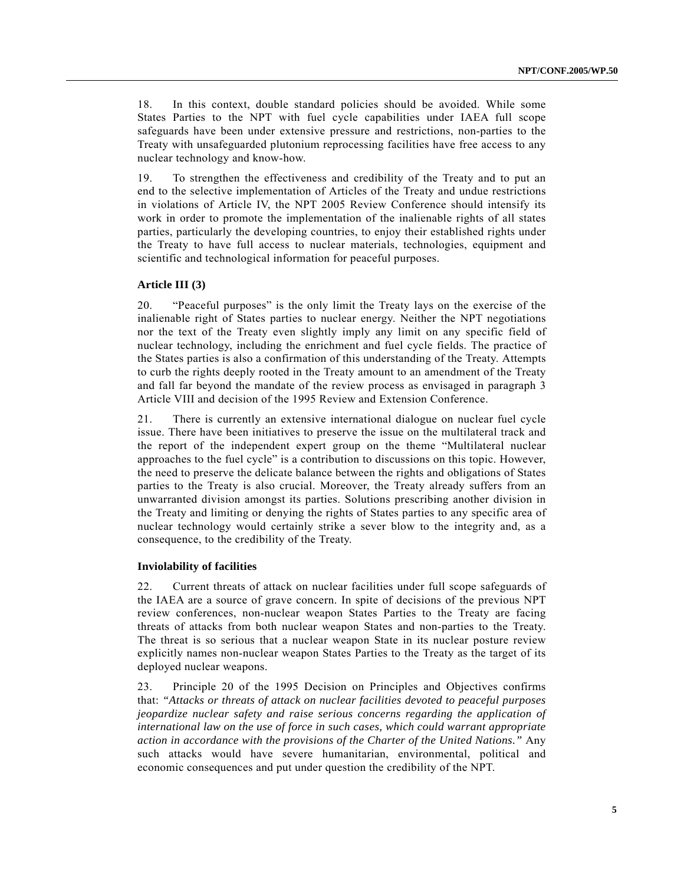18. In this context, double standard policies should be avoided. While some States Parties to the NPT with fuel cycle capabilities under IAEA full scope safeguards have been under extensive pressure and restrictions, non-parties to the Treaty with unsafeguarded plutonium reprocessing facilities have free access to any nuclear technology and know-how.

19. To strengthen the effectiveness and credibility of the Treaty and to put an end to the selective implementation of Articles of the Treaty and undue restrictions in violations of Article IV, the NPT 2005 Review Conference should intensify its work in order to promote the implementation of the inalienable rights of all states parties, particularly the developing countries, to enjoy their established rights under the Treaty to have full access to nuclear materials, technologies, equipment and scientific and technological information for peaceful purposes.

#### **Article III (3)**

20. *Peaceful purposes* is the only limit the Treaty lays on the exercise of the inalienable right of States parties to nuclear energy. Neither the NPT negotiations nor the text of the Treaty even slightly imply any limit on any specific field of nuclear technology, including the enrichment and fuel cycle fields. The practice of the States parties is also a confirmation of this understanding of the Treaty. Attempts to curb the rights deeply rooted in the Treaty amount to an amendment of the Treaty and fall far beyond the mandate of the review process as envisaged in paragraph 3 Article VIII and decision of the 1995 Review and Extension Conference.

21. There is currently an extensive international dialogue on nuclear fuel cycle issue. There have been initiatives to preserve the issue on the multilateral track and the report of the independent expert group on the theme "Multilateral nuclear approaches to the fuel cycle" is a contribution to discussions on this topic. However, the need to preserve the delicate balance between the rights and obligations of States parties to the Treaty is also crucial. Moreover, the Treaty already suffers from an unwarranted division amongst its parties. Solutions prescribing another division in the Treaty and limiting or denying the rights of States parties to any specific area of nuclear technology would certainly strike a sever blow to the integrity and, as a consequence, to the credibility of the Treaty.

#### **Inviolability of facilities**

22. Current threats of attack on nuclear facilities under full scope safeguards of the IAEA are a source of grave concern. In spite of decisions of the previous NPT review conferences, non-nuclear weapon States Parties to the Treaty are facing threats of attacks from both nuclear weapon States and non-parties to the Treaty. The threat is so serious that a nuclear weapon State in its nuclear posture review explicitly names non-nuclear weapon States Parties to the Treaty as the target of its deployed nuclear weapons.

23. Principle 20 of the 1995 Decision on Principles and Objectives confirms that: *"Attacks or threats of attack on nuclear facilities devoted to peaceful purposes jeopardize nuclear safety and raise serious concerns regarding the application of international law on the use of force in such cases, which could warrant appropriate action in accordance with the provisions of the Charter of the United Nations."* Any such attacks would have severe humanitarian, environmental, political and economic consequences and put under question the credibility of the NPT.